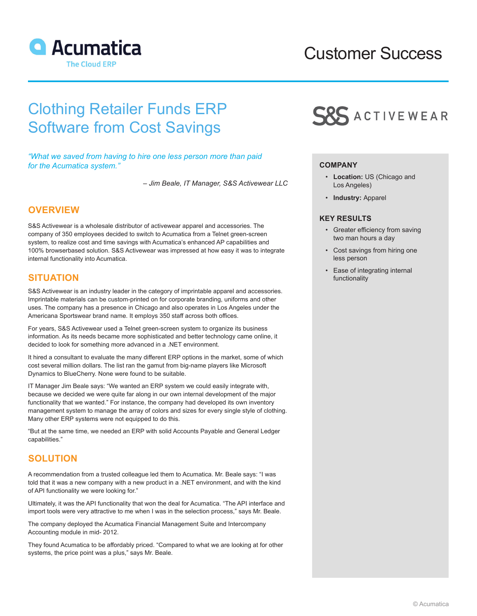

# Customer Success

# Clothing Retailer Funds ERP Software from Cost Savings

*"What we saved from having to hire one less person more than paid for the Acumatica system."*

*– Jim Beale, IT Manager, S&S Activewear LLC*

## **OVERVIEW**

S&S Activewear is a wholesale distributor of activewear apparel and accessories. The company of 350 employees decided to switch to Acumatica from a Telnet green-screen system, to realize cost and time savings with Acumatica's enhanced AP capabilities and 100% browserbased solution. S&S Activewear was impressed at how easy it was to integrate internal functionality into Acumatica.

## **SITUATION**

S&S Activewear is an industry leader in the category of imprintable apparel and accessories. Imprintable materials can be custom-printed on for corporate branding, uniforms and other uses. The company has a presence in Chicago and also operates in Los Angeles under the Americana Sportswear brand name. It employs 350 staff across both offices.

For years, S&S Activewear used a Telnet green-screen system to organize its business information. As its needs became more sophisticated and better technology came online, it decided to look for something more advanced in a .NET environment.

It hired a consultant to evaluate the many different ERP options in the market, some of which cost several million dollars. The list ran the gamut from big-name players like Microsoft Dynamics to BlueCherry. None were found to be suitable.

IT Manager Jim Beale says: "We wanted an ERP system we could easily integrate with, because we decided we were quite far along in our own internal development of the major functionality that we wanted." For instance, the company had developed its own inventory management system to manage the array of colors and sizes for every single style of clothing. Many other ERP systems were not equipped to do this.

"But at the same time, we needed an ERP with solid Accounts Payable and General Ledger capabilities."

## **SOLUTION**

A recommendation from a trusted colleague led them to Acumatica. Mr. Beale says: "I was told that it was a new company with a new product in a .NET environment, and with the kind of API functionality we were looking for."

Ultimately, it was the API functionality that won the deal for Acumatica. "The API interface and import tools were very attractive to me when I was in the selection process," says Mr. Beale.

The company deployed the Acumatica Financial Management Suite and Intercompany Accounting module in mid- 2012.

They found Acumatica to be affordably priced. "Compared to what we are looking at for other systems, the price point was a plus," says Mr. Beale.



## **COMPANY**

- **Location:** US (Chicago and Los Angeles)
- **Industry:** Apparel

## **KEY RESULTS**

- Greater efficiency from saving two man hours a day
- Cost savings from hiring one less person
- Ease of integrating internal functionality